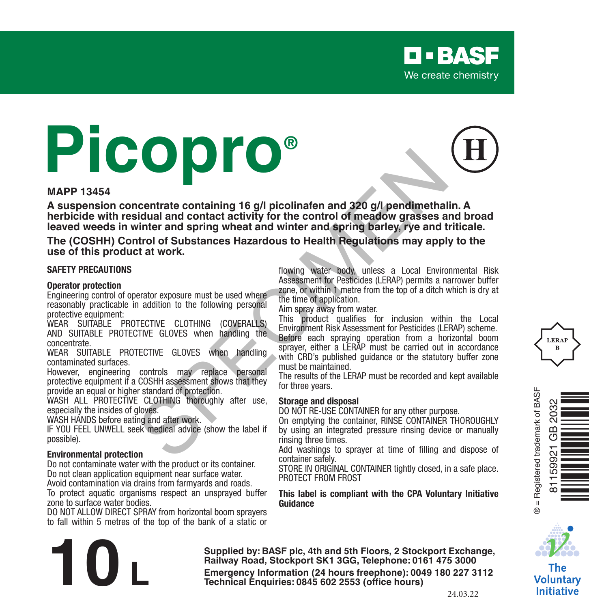# **Picopro®**

#### **MAPP 13454**

**A suspension concentrate containing 16 g/l picolinafen and 320 g/l pendimethalin. A herbicide with residual and contact activity for the control of meadow grasses and broad leaved weeds in winter and spring wheat and winter and spring barley, rye and triticale. Example 16 and Containing 16 and Contains and Contains and Contains and Contains and Contains and Contains and Contains and Contains and Contains and Contains and the Contains and the Contains and the set of weakers are t** 

**The (COSHH) Control of Substances Hazardous to Health Regulations may apply to the use of this product at work.**

#### **SAFETY PRECAUTIONS**

#### **Operator protection**

Engineering control of operator exposure must be used where reasonably practicable in addition to the following personal protective equipment:

WEAR SUITABLE PROTECTIVE CLOTHING (COVERALLS) AND SUITABLE PROTECTIVE GLOVES when handling the concentrate.

WEAR SUITABLE PROTECTIVE GLOVES when handling contaminated surfaces.

However, engineering controls may replace personal protective equipment if a COSHH assessment shows that they provide an equal or higher standard of protection.

WASH ALL PROTECTIVE CLOTHING thoroughly after use. especially the insides of gloves.

WASH HANDS before eating and after work.

IF YOU FEEL UNWELL seek medical advice (show the label if possible).

#### **Environmental protection**

Do not contaminate water with the product or its container. Do not clean application equipment near surface water. Avoid contamination via drains from farmyards and roads.

To protect aquatic organisms respect an unsprayed buffer zone to surface water bodies.

DO NOT ALLOW DIRECT SPRAY from horizontal boom sprayers to fall within 5 metres of the top of the bank of a static or flowing water body, unless a Local Environmental Risk Assessment for Pesticides (LERAP) permits a narrower buffer zone, or within 1 metre from the top of a ditch which is dry at the time of application.

Aim spray away from water.

This product qualifies for inclusion within the Local Environment Risk Assessment for Pesticides (LERAP) scheme. Before each spraying operation from a horizontal boom sprayer, either a LERAP must be carried out in accordance with CRD's published guidance or the statutory buffer zone must be maintained.

The results of the LERAP must be recorded and kept available for three years.

#### **Storage and disposal**

DO NOT RE-USE CONTAINER for any other purpose.

On emptying the container, RINSE CONTAINER THOROUGHLY by using an integrated pressure rinsing device or manually rinsing three times.

Add washings to sprayer at time of filling and dispose of container safely.

STORE IN ORIGINAL CONTAINER tightly closed, in a safe place. PROTECT FROM FROST

#### **This label is compliant with the CPA Voluntary Initiative Guidance**







The Voluntary **Initiative** 

**Supplied by: BASF plc, 4th and 5th Floors, 2 Stockport Exchange, Railway Road, Stockport SK1 3GG, Telephone: 0161 475 3000 Emergency Information (24 hours freephone: 0161 475 3000<br>
<b>Emergency Information (24 hours freephone: 0161 475 3000**<br> **Emergency Information (24 hours freephone: 0049 180 227 3112<br>
Technical Enquiries: 0845 602 2553 (offi**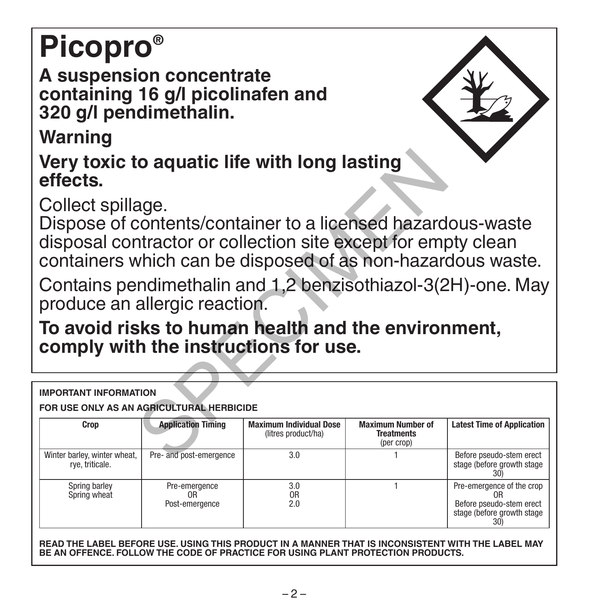# **Picopro®**

**A suspension concentrate containing 16 g/l picolinafen and 320 g/l pendimethalin.**

**Warning**

| Very toxic to aquatic life with long lasting<br>effects.                                                                                                                                                         |                                                   |                                                       |                                                             |                                                                                                   |  |  |
|------------------------------------------------------------------------------------------------------------------------------------------------------------------------------------------------------------------|---------------------------------------------------|-------------------------------------------------------|-------------------------------------------------------------|---------------------------------------------------------------------------------------------------|--|--|
| Collect spillage.<br>Dispose of contents/container to a licensed hazardous-waste<br>disposal contractor or collection site except for empty clean<br>containers which can be disposed of as non-hazardous waste. |                                                   |                                                       |                                                             |                                                                                                   |  |  |
| Contains pendimethalin and 1,2 benzisothiazol-3(2H)-one. May<br>produce an allergic reaction.                                                                                                                    |                                                   |                                                       |                                                             |                                                                                                   |  |  |
| To avoid risks to human health and the environment,<br>comply with the instructions for use.                                                                                                                     |                                                   |                                                       |                                                             |                                                                                                   |  |  |
| <b>IMPORTANT INFORMATION</b>                                                                                                                                                                                     |                                                   |                                                       |                                                             |                                                                                                   |  |  |
| FOR USE ONLY AS AN AGRICULTURAL HERBICIDE                                                                                                                                                                        |                                                   |                                                       |                                                             |                                                                                                   |  |  |
| Crop                                                                                                                                                                                                             | <b>Application Timing</b>                         | <b>Maximum Individual Dose</b><br>(litres product/ha) | <b>Maximum Number of</b><br><b>Treatments</b><br>(per crop) | <b>Latest Time of Application</b>                                                                 |  |  |
| Winter barley, winter wheat,<br>rye, triticale.                                                                                                                                                                  | Pre- and post-emergence                           | 3.0                                                   |                                                             | Before pseudo-stem erect<br>stage (before growth stage)<br>30)                                    |  |  |
| Spring barley<br>Spring wheat                                                                                                                                                                                    | Pre-emergence<br>0 <sub>R</sub><br>Post-emergence | 3.0<br>0 <sub>R</sub><br>2.0                          |                                                             | Pre-emergence of the crop<br>0R<br>Before pseudo-stem erect<br>stage (before growth stage)<br>30) |  |  |

**READ THE LABEL BEFORE USE. USING THIS PRODUCT IN A MANNER THAT IS INCONSISTENT WITH THE LABEL MAY BE AN OFFENCE. FOLLOW THE CODE OF PRACTICE FOR USING PLANT PROTECTION PRODUCTS.**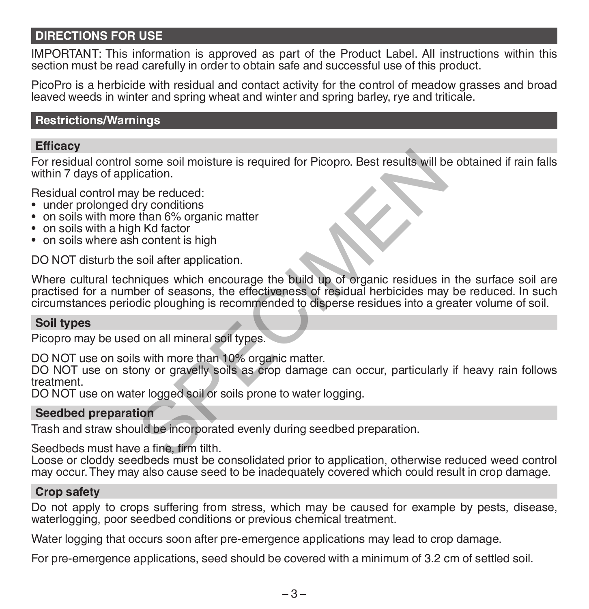# **DIRECTIONS FOR USE**

IMPORTANT: This information is approved as part of the Product Label. All instructions within this section must be read carefully in order to obtain safe and successful use of this product.

PicoPro is a herbicide with residual and contact activity for the control of meadow grasses and broad leaved weeds in winter and spring wheat and winter and spring barley, rye and triticale.

# **Restrictions/Warnings**

#### **Efficacy**

For residual control some soil moisture is required for Picopro. Best results will be obtained if rain falls within 7 days of application.

Residual control may be reduced:

- under prolonged dry conditions
- on soils with more than 6% organic matter
- on soils with a high Kd factor
- on soils where ash content is high

DO NOT disturb the soil after application.

Where cultural techniques which encourage the build up of organic residues in the surface soil are practised for a number of seasons, the effectiveness of residual herbicides may be reduced. In such circumstances periodic ploughing is recommended to disperse residues into a greater volume of soil. some soil moisture is required for Picopro. Best results will b<br>
ication.<br>
y be reduced:<br>
y conditions<br>
that factor<br>
in Md factor<br>
in Content is high<br>
soil after application.<br>
iniques which encourage the build up of organi

#### **Soil types**

Picopro may be used on all mineral soil types.

DO NOT use on soils with more than 10% organic matter.

DO NOT use on stony or gravelly soils as crop damage can occur, particularly if heavy rain follows treatment.

DO NOT use on water logged soil or soils prone to water logging.

#### **Seedbed preparation**

Trash and straw should be incorporated evenly during seedbed preparation.

Seedbeds must have a fine, firm tilth.

Loose or cloddy seedbeds must be consolidated prior to application, otherwise reduced weed control may occur. They may also cause seed to be inadequately covered which could result in crop damage.

#### **Crop safety**

Do not apply to crops suffering from stress, which may be caused for example by pests, disease, waterlogging, poor seedbed conditions or previous chemical treatment.

Water logging that occurs soon after pre-emergence applications may lead to crop damage.

For pre-emergence applications, seed should be covered with a minimum of 3.2 cm of settled soil.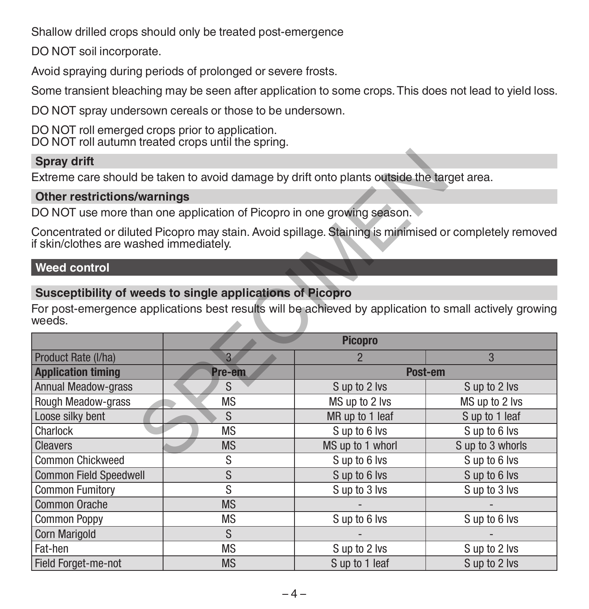Shallow drilled crops should only be treated post-emergence

DO NOT soil incorporate.

Avoid spraying during periods of prolonged or severe frosts.

Some transient bleaching may be seen after application to some crops. This does not lead to yield loss.

DO NOT spray undersown cereals or those to be undersown.

DO NOT roll emerged crops prior to application. DO NOT roll autumn treated crops until the spring.

# **Spray drift**

### **Other restrictions/warnings**

# **Weed control**

# **Susceptibility of weeds to single applications of Picopro**

| <b>Spray drift</b>                                                                                                                                                            |                                                                                                        |                  |                  |  |  |
|-------------------------------------------------------------------------------------------------------------------------------------------------------------------------------|--------------------------------------------------------------------------------------------------------|------------------|------------------|--|--|
| Extreme care should be taken to avoid damage by drift onto plants outside the target area.                                                                                    |                                                                                                        |                  |                  |  |  |
| <b>Other restrictions/warnings</b>                                                                                                                                            |                                                                                                        |                  |                  |  |  |
|                                                                                                                                                                               | DO NOT use more than one application of Picopro in one growing season.                                 |                  |                  |  |  |
| if skin/clothes are washed immediately.                                                                                                                                       | Concentrated or diluted Picopro may stain. Avoid spillage. Staining is minimised or completely removed |                  |                  |  |  |
| <b>Weed control</b>                                                                                                                                                           |                                                                                                        |                  |                  |  |  |
| Susceptibility of weeds to single applications of Picopro<br>For post-emergence applications best results will be achieved by application to small actively growing<br>weeds. |                                                                                                        |                  |                  |  |  |
|                                                                                                                                                                               |                                                                                                        | <b>Picopro</b>   |                  |  |  |
| Product Rate (I/ha)                                                                                                                                                           | $\overline{3}$                                                                                         |                  | 3                |  |  |
| <b>Application timing</b>                                                                                                                                                     | Pre-em                                                                                                 | Post-em          |                  |  |  |
| <b>Annual Meadow-grass</b>                                                                                                                                                    | S                                                                                                      | S up to 2 lvs    | S up to 2 lvs    |  |  |
| Rough Meadow-grass                                                                                                                                                            | <b>MS</b>                                                                                              | MS up to 2 lvs   | MS up to 2 lvs   |  |  |
| Loose silky bent                                                                                                                                                              | S                                                                                                      | MR up to 1 leaf  | S up to 1 leaf   |  |  |
| Charlock                                                                                                                                                                      | <b>MS</b>                                                                                              | Sup to 6 lvs     | Sup to 6 lvs     |  |  |
| Cleavers                                                                                                                                                                      | <b>MS</b>                                                                                              | MS up to 1 whorl | S up to 3 whorls |  |  |
| <b>Common Chickweed</b>                                                                                                                                                       | S                                                                                                      | S up to 6 lvs    | S up to 6 lvs    |  |  |
| Common Field Speedwell                                                                                                                                                        | S                                                                                                      | Sup to 6 lvs     | Sup to 6 lvs     |  |  |
| <b>Common Fumitory</b>                                                                                                                                                        | S                                                                                                      | S up to 3 lvs    | S up to 3 lvs    |  |  |
| Common Orache                                                                                                                                                                 | <b>MS</b>                                                                                              |                  |                  |  |  |
| <b>Common Poppy</b>                                                                                                                                                           | <b>MS</b>                                                                                              | Sup to 6 lvs     | Sup to 6 lvs     |  |  |
| Corn Marigold                                                                                                                                                                 | S                                                                                                      |                  |                  |  |  |
| Fat-hen                                                                                                                                                                       | <b>MS</b>                                                                                              | S up to 2 lvs    | S up to 2 lvs    |  |  |
| Field Forget-me-not                                                                                                                                                           | <b>MS</b>                                                                                              | S up to 1 leaf   | S up to 2 lvs    |  |  |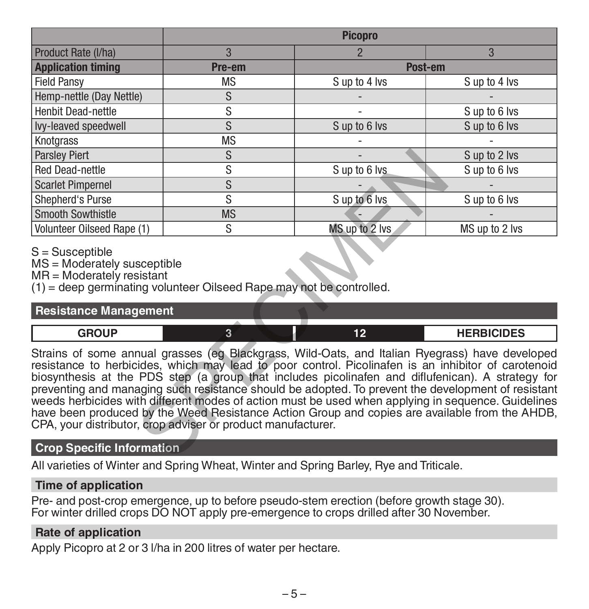|                                                                                                                                                                                                                                                                                                                                                                                                                                                                                                                                                                                                                                                                                                                              | <b>Picopro</b> |                |                   |  |  |
|------------------------------------------------------------------------------------------------------------------------------------------------------------------------------------------------------------------------------------------------------------------------------------------------------------------------------------------------------------------------------------------------------------------------------------------------------------------------------------------------------------------------------------------------------------------------------------------------------------------------------------------------------------------------------------------------------------------------------|----------------|----------------|-------------------|--|--|
| Product Rate (I/ha)                                                                                                                                                                                                                                                                                                                                                                                                                                                                                                                                                                                                                                                                                                          | 3              | $\overline{2}$ | 3                 |  |  |
| <b>Application timing</b>                                                                                                                                                                                                                                                                                                                                                                                                                                                                                                                                                                                                                                                                                                    | Pre-em         | Post-em        |                   |  |  |
| <b>Field Pansy</b>                                                                                                                                                                                                                                                                                                                                                                                                                                                                                                                                                                                                                                                                                                           | <b>MS</b>      | S up to 4 lvs  | S up to 4 lvs     |  |  |
| Hemp-nettle (Day Nettle)                                                                                                                                                                                                                                                                                                                                                                                                                                                                                                                                                                                                                                                                                                     | S              |                |                   |  |  |
| <b>Henbit Dead-nettle</b>                                                                                                                                                                                                                                                                                                                                                                                                                                                                                                                                                                                                                                                                                                    | S              |                | Sup to 6 lvs      |  |  |
| Ivy-leaved speedwell                                                                                                                                                                                                                                                                                                                                                                                                                                                                                                                                                                                                                                                                                                         | S              | S up to 6 lvs  | S up to 6 lvs     |  |  |
| Knotgrass                                                                                                                                                                                                                                                                                                                                                                                                                                                                                                                                                                                                                                                                                                                    | <b>MS</b>      |                |                   |  |  |
| <b>Parsley Piert</b>                                                                                                                                                                                                                                                                                                                                                                                                                                                                                                                                                                                                                                                                                                         | S              |                | S up to 2 lvs     |  |  |
| <b>Red Dead-nettle</b>                                                                                                                                                                                                                                                                                                                                                                                                                                                                                                                                                                                                                                                                                                       | S              | S up to 6 lvs  | S up to 6 lvs     |  |  |
| <b>Scarlet Pimpernel</b>                                                                                                                                                                                                                                                                                                                                                                                                                                                                                                                                                                                                                                                                                                     | $\overline{s}$ |                |                   |  |  |
| Shepherd's Purse                                                                                                                                                                                                                                                                                                                                                                                                                                                                                                                                                                                                                                                                                                             | S              | Sup to 6 lvs   | S up to 6 lvs     |  |  |
| Smooth Sowthistle                                                                                                                                                                                                                                                                                                                                                                                                                                                                                                                                                                                                                                                                                                            | <b>MS</b>      |                |                   |  |  |
| Volunteer Oilseed Rape (1)                                                                                                                                                                                                                                                                                                                                                                                                                                                                                                                                                                                                                                                                                                   | S.             | MS up to 2 lvs | MS up to 2 lvs    |  |  |
| $S =$ Susceptible<br>MS = Moderately susceptible<br>MR = Moderately resistant<br>(1) = deep germinating volunteer Oilseed Rape may not be controlled.                                                                                                                                                                                                                                                                                                                                                                                                                                                                                                                                                                        |                |                |                   |  |  |
| <b>Resistance Management</b>                                                                                                                                                                                                                                                                                                                                                                                                                                                                                                                                                                                                                                                                                                 |                |                |                   |  |  |
| <b>GROUP</b>                                                                                                                                                                                                                                                                                                                                                                                                                                                                                                                                                                                                                                                                                                                 | $\overline{3}$ | 12             | <b>HERBICIDES</b> |  |  |
| Strains of some annual grasses (eg Blackgrass, Wild-Oats, and Italian Ryegrass) have developed<br>resistance to herbicides, which may lead to poor control. Picolinafen is an inhibitor of carotenoid<br>biosynthesis at the PDS step (a group that includes picolinafen and diflufenican). A strategy for<br>preventing and managing such resistance should be adopted. To prevent the development of resistant<br>weeds herbicides with different modes of action must be used when applying in sequence. Guidelines<br>have been produced by the Weed Resistance Action Group and copies are available from the AHDB,<br>CPA, your distributor, crop adviser or product manufacturer.<br><b>Crop Specific Information</b> |                |                |                   |  |  |
|                                                                                                                                                                                                                                                                                                                                                                                                                                                                                                                                                                                                                                                                                                                              |                |                |                   |  |  |

# S = Susceptible

#### **Resistance Management**

| <b>CDOUD</b><br>- |  | <b>UEDDICIDEC</b><br>- כבועה |
|-------------------|--|------------------------------|
|                   |  |                              |

#### **Crop Specific Information**

All varieties of Winter and Spring Wheat, Winter and Spring Barley, Rye and Triticale.

#### **Time of application**

Pre- and post-crop emergence, up to before pseudo-stem erection (before growth stage 30). For winter drilled crops DO NOT apply pre-emergence to crops drilled after 30 November.

#### **Rate of application**

Apply Picopro at 2 or 3 l/ha in 200 litres of water per hectare.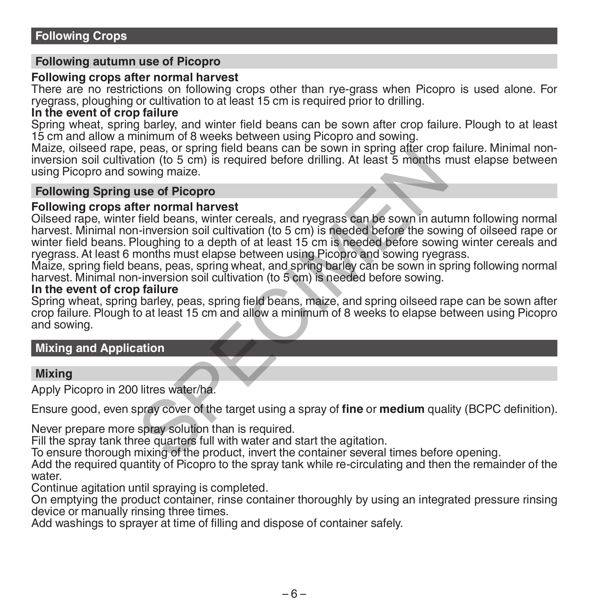#### **Following autumn use of Picopro**

#### **Following crops after normal harvest**

There are no restrictions on following crops other than rye-grass when Picopro is used alone. For ryegrass, ploughing or cultivation to at least 15 cm is required prior to drilling.

### **In the event of crop failure**

Spring wheat, spring barley, and winter field beans can be sown after crop failure. Plough to at least 15 cm and allow a minimum of 8 weeks between using Picopro and sowing.

Maize, oilseed rape, peas, or spring field beans can be sown in spring after crop failure. Minimal noninversion soil cultivation (to 5 cm) is required before drilling. At least 5 months must elapse between using Picopro and sowing maize.

#### **Following Spring use of Picopro**

#### **Following crops after normal harvest**

Oilseed rape, winter field beans, winter cereals, and ryegrass can be sown in autumn following normal harvest. Minimal non-inversion soil cultivation (to 5 cm) is needed before the sowing of oilseed rape or winter field beans. Ploughing to a depth of at least 15 cm is needed before sowing winter cereals and ryegrass. At least 6 months must elapse between using Picopro and sowing ryegrass. peas, or spinn ineu beat as can be sown in spinn galar to the form (to 5 cm) is required before drilling. At least 5 months r windowing maize.<br> **use of Picopro**<br> **ter normal harvest**<br>
field beans, winter cereals, and ryegr

Maize, spring field beans, peas, spring wheat, and spring barley can be sown in spring following normal harvest. Minimal non-inversion soil cultivation (to 5 cm) is needed before sowing.

# **In the event of crop failure**

Spring wheat, spring barley, peas, spring field beans, maize, and spring oilseed rape can be sown after crop failure. Plough to at least 15 cm and allow a minimum of 8 weeks to elapse between using Picopro and sowing.

#### **Mixing and Application**

#### **Mixing**

Apply Picopro in 200 litres water/ha.

Ensure good, even spray cover of the target using a spray of **fine** or **medium** quality (BCPC definition).

Never prepare more spray solution than is required.

Fill the spray tank three quarters full with water and start the agitation.

To ensure thorough mixing of the product, invert the container several times before opening.

Add the required quantity of Picopro to the spray tank while re-circulating and then the remainder of the water

Continue agitation until spraying is completed.

On emptying the product container, rinse container thoroughly by using an integrated pressure rinsing device or manually rinsing three times.

Add washings to sprayer at time of filling and dispose of container safely.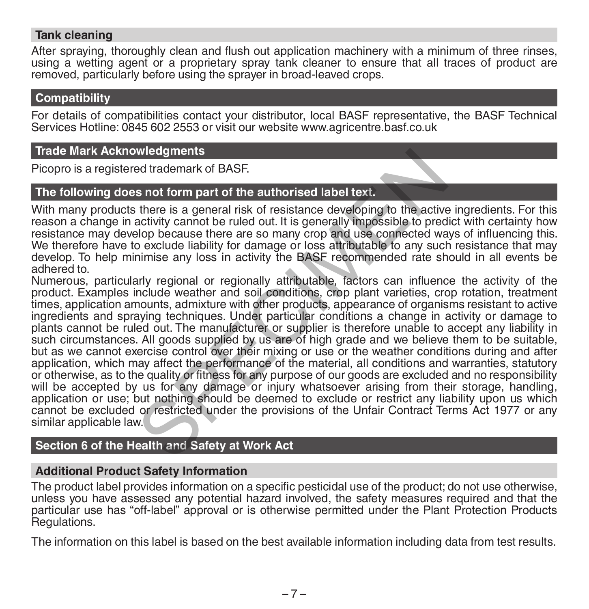## **Tank cleaning**

After spraying, thoroughly clean and flush out application machinery with a minimum of three rinses. using a wetting agent or a proprietary spray tank cleaner to ensure that all traces of product are removed, particularly before using the sprayer in broad-leaved crops.

#### **Compatibility**

For details of compatibilities contact your distributor, local BASF representative, the BASF Technical Services Hotline: 0845 602 2553 or visit our website www.agricentre.basf.co.uk

#### **Trade Mark Acknowledgments**

Picopro is a registered trademark of BASF.

# **The following does not form part of the authorised label text.**

With many products there is a general risk of resistance developing to the active ingredients. For this reason a change in activity cannot be ruled out. It is generally impossible to predict with certainty how resistance may develop because there are so many crop and use connected ways of influencing this. We therefore have to exclude liability for damage or loss attributable to any such resistance that may develop. To help minimise any loss in activity the BASF recommended rate should in all events be adhered to.

Numerous, particularly regional or regionally attributable, factors can influence the activity of the product. Examples include weather and soil conditions, crop plant varieties, crop rotation, treatment times, application amounts, admixture with other products, appearance of organisms resistant to active ingredients and spraying techniques. Under particular conditions a change in activity or damage to plants cannot be ruled out. The manufacturer or supplier is therefore unable to accept any liability in such circumstances. All goods supplied by us are of high grade and we believe them to be suitable, but as we cannot exercise control over their mixing or use or the weather conditions during and after application, which may affect the performance of the material, all conditions and warranties, statutory or otherwise, as to the quality or fitness for any purpose of our goods are excluded and no responsibility will be accepted by us for any damage or injury whatsoever arising from their storage, handling, application or use; but nothing should be deemed to exclude or restrict any liability upon us which cannot be excluded or restricted under the provisions of the Unfair Contract Terms Act 1977 or any similar applicable law. wledgments<br>sed trademark of BASF.<br>s not form part of the authorised label text.<br>there is a general risk of resistance developing to the active<br>activity cannot be ruled out. It is generally impossible to pred<br>o exclude liab

# **Section 6 of the Health and Safety at Work Act**

#### **Additional Product Safety Information**

The product label provides information on a specific pesticidal use of the product; do not use otherwise, unless you have assessed any potential hazard involved, the safety measures required and that the particular use has "off-label" approval or is otherwise permitted under the Plant Protection Products Regulations.

The information on this label is based on the best available information including data from test results.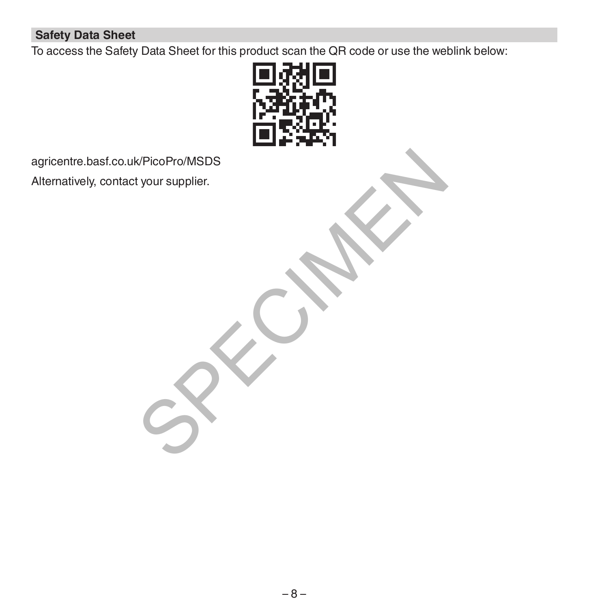# **Safety Data Sheet**

To access the Safety Data Sheet for this product scan the QR code or use the weblink below:



agricentre.basf.co.uk/PicoPro/MSDS Alternatively, contact your supplier. K/PicoPro/MSDS<br>tyour supplier.